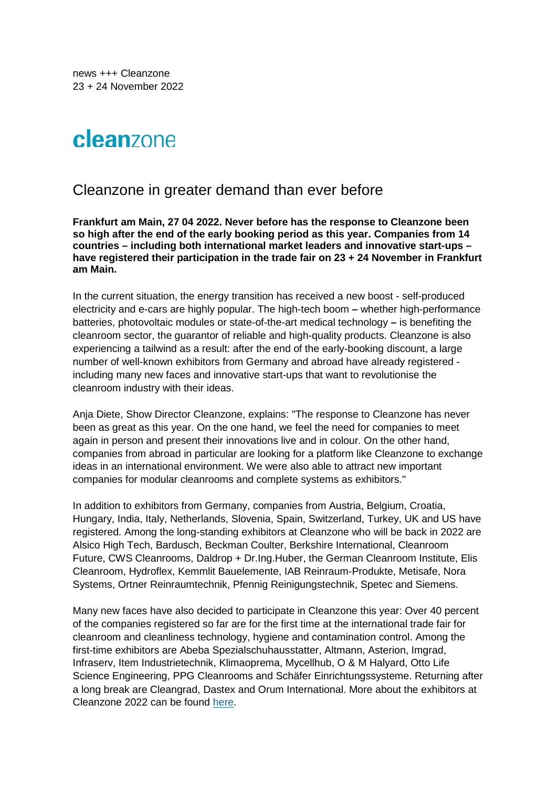## cleanzone

## Cleanzone in greater demand than ever before

**Frankfurt am Main, 27 04 2022. Never before has the response to Cleanzone been so high after the end of the early booking period as this year. Companies from 14 countries – including both international market leaders and innovative start-ups – have registered their participation in the trade fair on 23 + 24 November in Frankfurt am Main.**

In the current situation, the energy transition has received a new boost - self-produced electricity and e-cars are highly popular. The high-tech boom **–** whether high-performance batteries, photovoltaic modules or state-of-the-art medical technology **–** is benefiting the cleanroom sector, the guarantor of reliable and high-quality products. Cleanzone is also experiencing a tailwind as a result: after the end of the early-booking discount, a large number of well-known exhibitors from Germany and abroad have already registered including many new faces and innovative start-ups that want to revolutionise the cleanroom industry with their ideas.

Anja Diete, Show Director Cleanzone, explains: "The response to Cleanzone has never been as great as this year. On the one hand, we feel the need for companies to meet again in person and present their innovations live and in colour. On the other hand, companies from abroad in particular are looking for a platform like Cleanzone to exchange ideas in an international environment. We were also able to attract new important companies for modular cleanrooms and complete systems as exhibitors."

In addition to exhibitors from Germany, companies from Austria, Belgium, Croatia, Hungary, India, Italy, Netherlands, Slovenia, Spain, Switzerland, Turkey, UK and US have registered. Among the long-standing exhibitors at Cleanzone who will be back in 2022 are Alsico High Tech, Bardusch, Beckman Coulter, Berkshire International, Cleanroom Future, CWS Cleanrooms, Daldrop + Dr.Ing.Huber, the German Cleanroom Institute, Elis Cleanroom, Hydroflex, Kemmlit Bauelemente, IAB Reinraum-Produkte, Metisafe, Nora Systems, Ortner Reinraumtechnik, Pfennig Reinigungstechnik, Spetec and Siemens.

Many new faces have also decided to participate in Cleanzone this year: Over 40 percent of the companies registered so far are for the first time at the international trade fair for cleanroom and cleanliness technology, hygiene and contamination control. Among the first-time exhibitors are Abeba Spezialschuhausstatter, Altmann, Asterion, Imgrad, Infraserv, Item Industrietechnik, Klimaoprema, Mycellhub, O & M Halyard, Otto Life Science Engineering, PPG Cleanrooms and Schäfer Einrichtungssysteme. Returning after a long break are Cleangrad, Dastex and Orum International. More about the exhibitors at Cleanzone 2022 can be found [here.](https://cleanzone.messefrankfurt.com/frankfurt/en/exhibitor-search.html)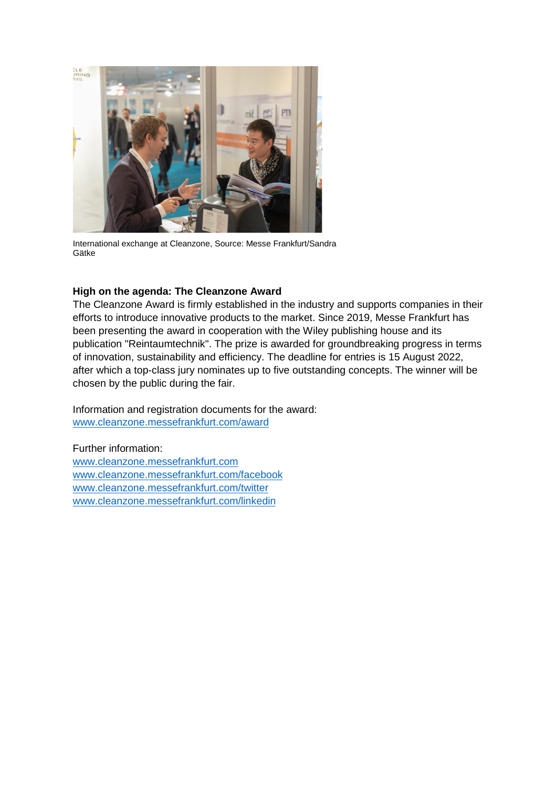

International exchange at Cleanzone, Source: Messe Frankfurt/Sandra Gätke

## **High on the agenda: The Cleanzone Award**

The Cleanzone Award is firmly established in the industry and supports companies in their efforts to introduce innovative products to the market. Since 2019, Messe Frankfurt has been presenting the award in cooperation with the Wiley publishing house and its publication "Reintaumtechnik". The prize is awarded for groundbreaking progress in terms of innovation, sustainability and efficiency. The deadline for entries is 15 August 2022, after which a top-class jury nominates up to five outstanding concepts. The winner will be chosen by the public during the fair.

Information and registration documents for the award: [www.cleanzone.messefrankfurt.com/award](http://www.cleanzone.messefrankfurt.com/award)

Further information: [www.cleanzone.messefrankfurt.com](http://www.cleanzone.messefrankfurt.com/) [www.cleanzone.messefrankfurt.com/facebook](http://www.cleanzone.messefrankfurt.com/facebook) [www.cleanzone.messefrankfurt.com/twitter](http://www.cleanzone.messefrankfurt.com/twitter) [www.cleanzone.messefrankfurt.com/linkedin](http://www.cleanzone.messefrankfurt.com/linkedin)